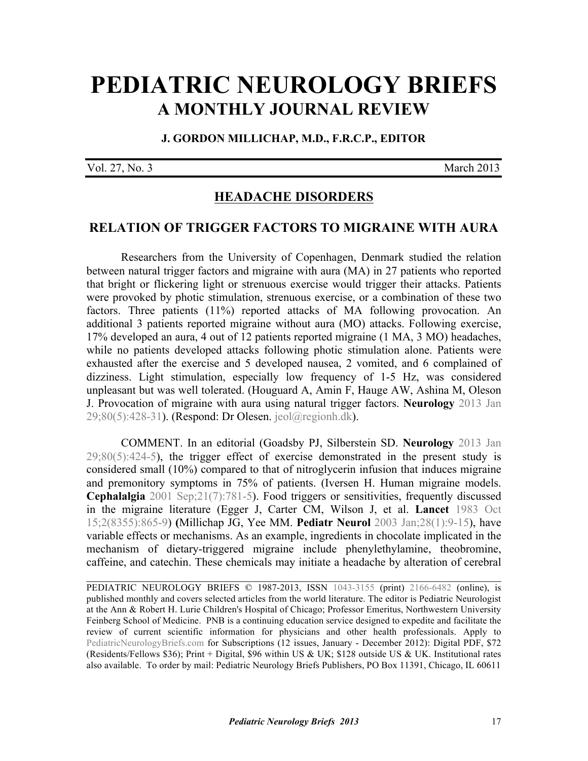# **[PEDIATRIC NEUROLOGY BRIEFS](http://www.pediatricneurologybriefs.com/) A MONTHLY JOURNAL REVIEW**

**J. GORDON MILLICHAP, M.D., F.R.C.P., EDITOR** 

Vol. 27, No. 3 March 2013

# **HEADACHE DISORDERS**

## **RELATION OF TRIGGER FACTORS TO MIGRAINE WITH AURA**

Researchers from the University of Copenhagen, Denmark studied the relation between natural trigger factors and migraine with aura (MA) in 27 patients who reported that bright or flickering light or strenuous exercise would trigger their attacks. Patients were provoked by photic stimulation, strenuous exercise, or a combination of these two factors. Three patients (11%) reported attacks of MA following provocation. An additional 3 patients reported migraine without aura (MO) attacks. Following exercise, 17% developed an aura, 4 out of 12 patients reported migraine (1 MA, 3 MO) headaches, while no patients developed attacks following photic stimulation alone. Patients were exhausted after the exercise and 5 developed nausea, 2 vomited, and 6 complained of dizziness. Light stimulation, especially low frequency of 1-5 Hz, was considered [unpleasant but was well tolerated. \(Houguard A, Amin F, Hauge AW, Ashina M, Oleson](http://dx.doi.org/10.1212/WNL.0b013e31827f0f10) J. Provocation of migraine with aura using natural trigger factors. **Neurology** 2013 Jan 29;80(5):428-31). (Respond: Dr Olesen. jeol@regionh.dk).

 [COMMENT. In an editorial \(Goadsby PJ, Silberstein SD.](http://dx.doi.org/10.1212/WNL.0b013e31827f100c) **Neurology** 2013 Jan  $29;80(5):424-5$ , the trigger effect of exercise demonstrated in the present study is considered small (10%) compared to that of nitroglycerin infusion that induces migraine [and premonitory symptoms in 75% of patients. \(Iversen H. Human migraine models.](http://www.ncbi.nlm.nih.gov/pubmed/11595013) **Cephalalgia** 2001 Sep;21(7):781-5). Food triggers or sensitivities, frequently discussed in the migraine literature ([Egger J, Carter CM, Wilson J, et al.](http://dx.doi.org/10.1016/S0140-6736(83)90866-8) **Lancet** 1983 Oct [15;2\(8355\):865-9](http://dx.doi.org/10.1016/S0140-6736(83)90866-8)) **(**[Millichap JG, Yee MM.](http://dx.doi.org/10.1016/S0887-8994(02)00466-6) **Pediatr Neurol** 2003 Jan;28(1):9-15), have variable effects or mechanisms. As an example, ingredients in chocolate implicated in the mechanism of dietary-triggered migraine include phenylethylamine, theobromine, caffeine, and catechin. These chemicals may initiate a headache by alteration of cerebral

PEDIATRIC NEUROLOGY BRIEFS © 1987-2013, ISSN [1043-3155](http://www.worldcat.org/oclc/19417722) (print) [2166-6482](http://www.worldcat.org/oclc/781441925) (online), is published monthly and covers selected articles from the world literature. The editor is Pediatric Neurologist at the Ann & Robert H. Lurie Children's Hospital of Chicago; Professor Emeritus, Northwestern University Feinberg School of Medicine. PNB is a continuing education service designed to expedite and facilitate the review of current scientific information for physicians and other health professionals. Apply to [PediatricNeurologyBriefs.com](http://www.pediatricneurologybriefs.com/subscribe.html) for Subscriptions (12 issues, January - December 2012): Digital PDF, \$72 (Residents/Fellows \$36); Print + Digital, \$96 within US & UK; \$128 outside US & UK. Institutional rates also available. To order by mail: Pediatric Neurology Briefs Publishers, PO Box 11391, Chicago, IL 60611

 $\mathcal{L}_\text{G}$  , and the contribution of the contribution of the contribution of the contribution of the contribution of the contribution of the contribution of the contribution of the contribution of the contribution of t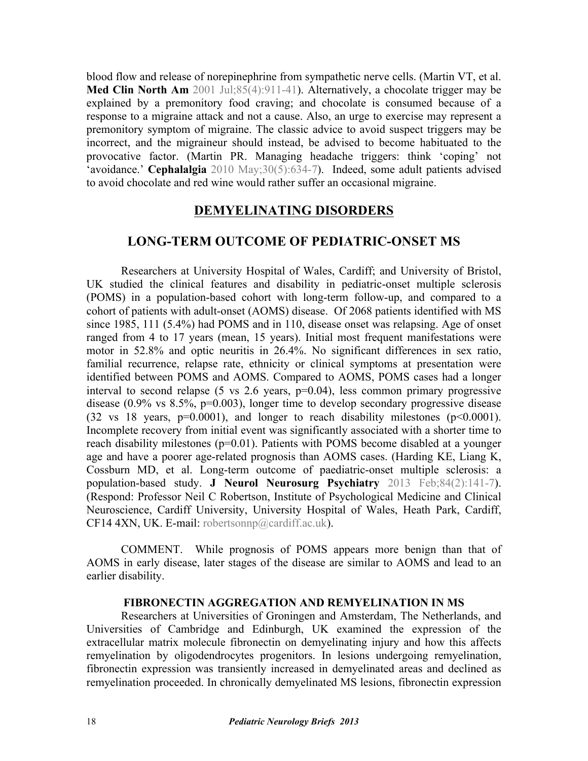[blood flow and release of norepinephrine from sympathetic nerve cells.](http://dx.doi.org/10.1016/S0025-7125(05)70351-5) (Martin VT, et al. **Med Clin North Am** 2001 Jul;85(4):911-41). Alternatively, a chocolate trigger may be explained by a premonitory food craving; and chocolate is consumed because of a response to a migraine attack and not a cause. Also, an urge to exercise may represent a premonitory symptom of migraine. The classic advice to avoid suspect triggers may be incorrect, and the migraineur should instead, be advised to become habituated to the [provocative factor. \(Martin PR. Managing headache triggers: think 'coping' not](http://dx.doi.org/10.1111/j.1468-2982.2009.01989.x) 'avoidance.' **Cephalalgia** 2010 May;30(5):634-7). Indeed, some adult patients advised to avoid chocolate and red wine would rather suffer an occasional migraine.

# **DEMYELINATING DISORDERS**

# **LONG-TERM OUTCOME OF PEDIATRIC-ONSET MS**

Researchers at University Hospital of Wales, Cardiff; and University of Bristol, UK studied the clinical features and disability in pediatric-onset multiple sclerosis (POMS) in a population-based cohort with long-term follow-up, and compared to a cohort of patients with adult-onset (AOMS) disease. Of 2068 patients identified with MS since 1985, 111 (5.4%) had POMS and in 110, disease onset was relapsing. Age of onset ranged from 4 to 17 years (mean, 15 years). Initial most frequent manifestations were motor in 52.8% and optic neuritis in 26.4%. No significant differences in sex ratio, familial recurrence, relapse rate, ethnicity or clinical symptoms at presentation were identified between POMS and AOMS. Compared to AOMS, POMS cases had a longer interval to second relapse (5 vs 2.6 years, p=0.04), less common primary progressive disease  $(0.9\% \text{ vs } 8.5\% \text{ p} = 0.003)$ , longer time to develop secondary progressive disease (32 vs 18 years,  $p=0.0001$ ), and longer to reach disability milestones ( $p<0.0001$ ). Incomplete recovery from initial event was significantly associated with a shorter time to reach disability milestones (p=0.01). Patients with POMS become disabled at a younger age and have a poorer age-related prognosis than AOMS cases. (Harding KE, Liang K, [Cossburn MD, et al. Long-term outcome of paediatric-onset multiple sclerosis: a](http://dx.doi.org/10.1136/jnnp-2012-303996) population-based study. **J Neurol Neurosurg Psychiatry** 2013 Feb;84(2):141-7). (Respond: Professor Neil C Robertson, Institute of Psychological Medicine and Clinical Neuroscience, Cardiff University, University Hospital of Wales, Heath Park, Cardiff, CF14 4XN, UK. E-mail: robertsonnp@cardiff.ac.uk).

 COMMENT. While prognosis of POMS appears more benign than that of AOMS in early disease, later stages of the disease are similar to AOMS and lead to an earlier disability.

#### **FIBRONECTIN AGGREGATION AND REMYELINATION IN MS**

Researchers at Universities of Groningen and Amsterdam, The Netherlands, and Universities of Cambridge and Edinburgh, UK examined the expression of the extracellular matrix molecule fibronectin on demyelinating injury and how this affects remyelination by oligodendrocytes progenitors. In lesions undergoing remyelination, fibronectin expression was transiently increased in demyelinated areas and declined as remyelination proceeded. In chronically demyelinated MS lesions, fibronectin expression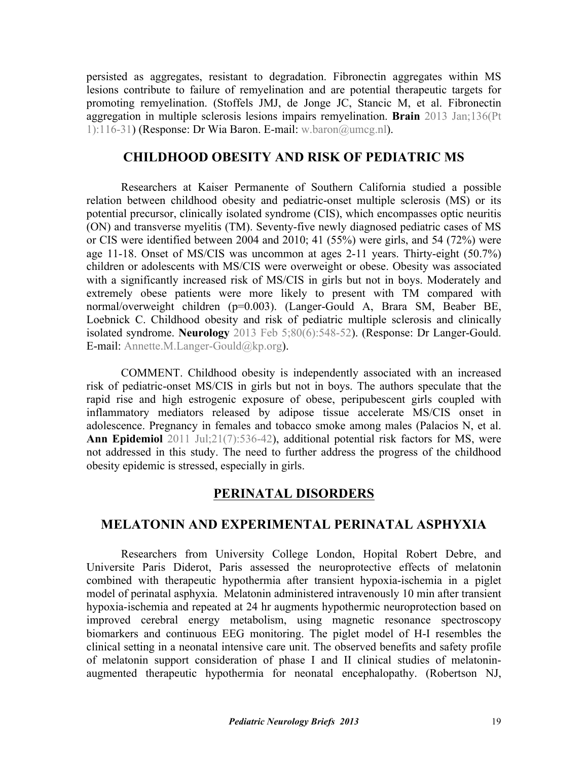persisted as aggregates, resistant to degradation. Fibronectin aggregates within MS lesions contribute to failure of remyelination and are potential therapeutic targets for [promoting remyelination. \(Stoffels JMJ, de Jonge JC, Stancic M, et al. Fibronectin](http://www.ncbi.nlm.nih.gov/pubmed/23365094) aggregation in multiple sclerosis lesions impairs remyelination. **Brain** 2013 Jan;136(Pt 1):116-31) (Response: Dr Wia Baron. E-mail: w.baron@umcg.nl).

## **CHILDHOOD OBESITY AND RISK OF PEDIATRIC MS**

 Researchers at Kaiser Permanente of Southern California studied a possible relation between childhood obesity and pediatric-onset multiple sclerosis (MS) or its potential precursor, clinically isolated syndrome (CIS), which encompasses optic neuritis (ON) and transverse myelitis (TM). Seventy-five newly diagnosed pediatric cases of MS or CIS were identified between 2004 and 2010; 41 (55%) were girls, and 54 (72%) were age 11-18. Onset of MS/CIS was uncommon at ages 2-11 years. Thirty-eight (50.7%) children or adolescents with MS/CIS were overweight or obese. Obesity was associated with a significantly increased risk of MS/CIS in girls but not in boys. Moderately and extremely obese patients were more likely to present with TM compared with [normal/overweight children \(p=0.003\). \(Langer-Gould A, Brara SM, Beaber BE,](http://dx.doi.org/10.1212/WNL.0b013e31828154f3) Loebnick C. Childhood obesity and risk of pediatric multiple sclerosis and clinically isolated syndrome. **Neurology** 2013 Feb 5;80(6):548-52). (Response: Dr Langer-Gould. E-mail: Annette.M.Langer-Gould@kp.org).

 COMMENT. Childhood obesity is independently associated with an increased risk of pediatric-onset MS/CIS in girls but not in boys. The authors speculate that the rapid rise and high estrogenic exposure of obese, peripubescent girls coupled with inflammatory mediators released by adipose tissue accelerate MS/CIS onset in adolescence. Pregnancy in females and tobacco smoke among males (Palacios N, et al. Ann Epidemiol [2011 Jul;21\(7\):536-42\), additional potential risk factors for MS, were](http://dx.doi.org/10.1016/j.annepidem.2011.03.001) not addressed in this study. The need to further address the progress of the childhood obesity epidemic is stressed, especially in girls.

### **PERINATAL DISORDERS**

# **MELATONIN AND EXPERIMENTAL PERINATAL ASPHYXIA**

 Researchers from University College London, Hopital Robert Debre, and Universite Paris Diderot, Paris assessed the neuroprotective effects of melatonin combined with therapeutic hypothermia after transient hypoxia-ischemia in a piglet model of perinatal asphyxia. Melatonin administered intravenously 10 min after transient hypoxia-ischemia and repeated at 24 hr augments hypothermic neuroprotection based on improved cerebral energy metabolism, using magnetic resonance spectroscopy biomarkers and continuous EEG monitoring. The piglet model of H-I resembles the clinical setting in a neonatal intensive care unit. The observed benefits and safety profile of melatonin support consideration of phase I and II clinical studies of melatoninaugmented therapeutic hypothermia for neonatal encephalopathy. ([Robertson NJ,](http://dx.doi.org/10.1093/brain/aws285)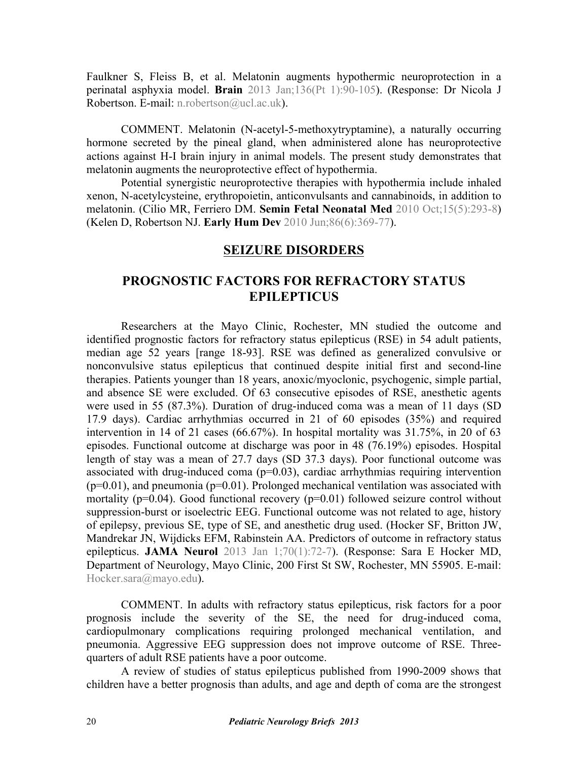[Faulkner S, Fleiss B, et al. Melatonin augments hypothermic neuroprotection in a](http://dx.doi.org/10.1093/brain/aws285) perinatal asphyxia model. **Brain** 2013 Jan;136(Pt 1):90-105). (Response: Dr Nicola J Robertson. E-mail: n.robertson@ucl.ac.uk).

 COMMENT. Melatonin (N-acetyl-5-methoxytryptamine), a naturally occurring hormone secreted by the pineal gland, when administered alone has neuroprotective actions against H-I brain injury in animal models. The present study demonstrates that melatonin augments the neuroprotective effect of hypothermia.

Potential synergistic neuroprotective therapies with hypothermia include inhaled xenon, N-acetylcysteine, erythropoietin, anticonvulsants and cannabinoids, in addition to melatonin. (Cilio MR, Ferriero DM. **[Semin Fetal Neonatal Med](http://dx.doi.org/10.1016/j.siny.2010.02.002)** 2010 Oct;15(5):293-8) [\(Kelen D, Robertson NJ.](http://dx.doi.org/10.1016/j.earlhumdev.2010.05.011) **Early Hum Dev** 2010 Jun;86(6):369-77).

## **SEIZURE DISORDERS**

# **PROGNOSTIC FACTORS FOR REFRACTORY STATUS EPILEPTICUS**

Researchers at the Mayo Clinic, Rochester, MN studied the outcome and identified prognostic factors for refractory status epilepticus (RSE) in 54 adult patients, median age 52 years [range 18-93]. RSE was defined as generalized convulsive or nonconvulsive status epilepticus that continued despite initial first and second-line therapies. Patients younger than 18 years, anoxic/myoclonic, psychogenic, simple partial, and absence SE were excluded. Of 63 consecutive episodes of RSE, anesthetic agents were used in 55 (87.3%). Duration of drug-induced coma was a mean of 11 days (SD 17.9 days). Cardiac arrhythmias occurred in 21 of 60 episodes (35%) and required intervention in 14 of 21 cases (66.67%). In hospital mortality was 31.75%, in 20 of 63 episodes. Functional outcome at discharge was poor in 48 (76.19%) episodes. Hospital length of stay was a mean of 27.7 days (SD 37.3 days). Poor functional outcome was associated with drug-induced coma  $(p=0.03)$ , cardiac arrhythmias requiring intervention  $(p=0.01)$ , and pneumonia  $(p=0.01)$ . Prolonged mechanical ventilation was associated with mortality ( $p=0.04$ ). Good functional recovery ( $p=0.01$ ) followed seizure control without suppression-burst or isoelectric EEG. Functional outcome was not related to age, history [of epilepsy, previous SE, type of SE, and anesthetic drug used. \(Hocker SF, Britton JW,](http://dx.doi.org/10.1001/jamaneurol.2013.578) Mandrekar JN, Wijdicks EFM, Rabinstein AA. Predictors of outcome in refractory status epilepticus. **JAMA Neurol** 2013 Jan 1;70(1):72-7). (Response: Sara E Hocker MD, Department of Neurology, Mayo Clinic, 200 First St SW, Rochester, MN 55905. E-mail: Hocker.sara@mayo.edu).

 COMMENT. In adults with refractory status epilepticus, risk factors for a poor prognosis include the severity of the SE, the need for drug-induced coma, cardiopulmonary complications requiring prolonged mechanical ventilation, and pneumonia. Aggressive EEG suppression does not improve outcome of RSE. Threequarters of adult RSE patients have a poor outcome.

A review of studies of status epilepticus published from 1990-2009 shows that children have a better prognosis than adults, and age and depth of coma are the strongest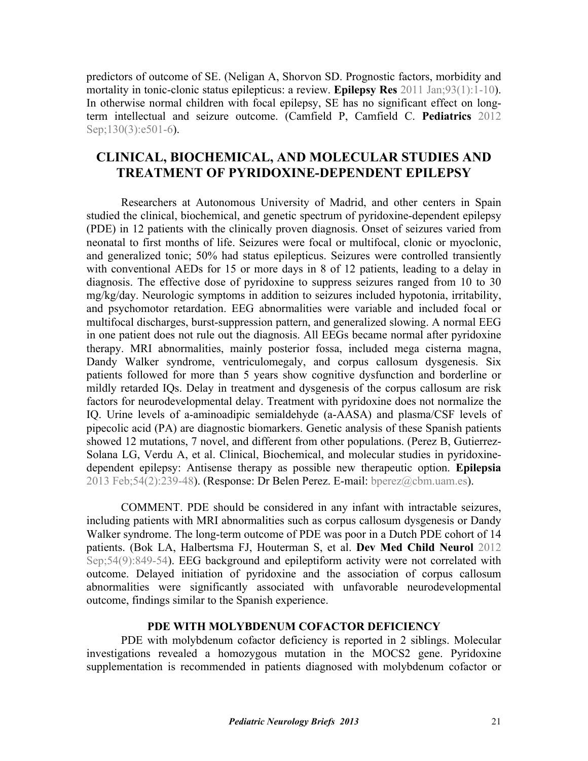[predictors of outcome of SE. \(Neligan A, Shorvon SD. Prognostic factors, morbidity and](http://dx.doi.org/10.1016/j.eplepsyres.2010.09.003) mortality in tonic-clonic status epilepticus: a review. **Epilepsy Res** 2011 Jan;93(1):1-10). In otherwise normal children with focal epilepsy, SE has no significant effect on longterm intellectual [and seizure outcome. \(Camfield P, Camfield C.](http://dx.doi.org/10.1542/peds.2012-0838) **Pediatrics** 2012 Sep;130(3):e501-6).

# **CLINICAL, BIOCHEMICAL, AND MOLECULAR STUDIES AND TREATMENT OF PYRIDOXINE-DEPENDENT EPILEPSY**

Researchers at Autonomous University of Madrid, and other centers in Spain studied the clinical, biochemical, and genetic spectrum of pyridoxine-dependent epilepsy (PDE) in 12 patients with the clinically proven diagnosis. Onset of seizures varied from neonatal to first months of life. Seizures were focal or multifocal, clonic or myoclonic, and generalized tonic; 50% had status epilepticus. Seizures were controlled transiently with conventional AEDs for 15 or more days in 8 of 12 patients, leading to a delay in diagnosis. The effective dose of pyridoxine to suppress seizures ranged from 10 to 30 mg/kg/day. Neurologic symptoms in addition to seizures included hypotonia, irritability, and psychomotor retardation. EEG abnormalities were variable and included focal or multifocal discharges, burst-suppression pattern, and generalized slowing. A normal EEG in one patient does not rule out the diagnosis. All EEGs became normal after pyridoxine therapy. MRI abnormalities, mainly posterior fossa, included mega cisterna magna, Dandy Walker syndrome, ventriculomegaly, and corpus callosum dysgenesis. Six patients followed for more than 5 years show cognitive dysfunction and borderline or mildly retarded IQs. Delay in treatment and dysgenesis of the corpus callosum are risk factors for neurodevelopmental delay. Treatment with pyridoxine does not normalize the IQ. Urine levels of a-aminoadipic semialdehyde (a-AASA) and plasma/CSF levels of pipecolic acid (PA) are diagnostic biomarkers. Genetic analysis of these Spanish patients [showed 12 mutations, 7 novel, and different from other populations. \(Perez B, Gutierrez-](http://dx.doi.org/10.1111/epi.12083)Solana LG, Verdu A, et al. Clinical, Biochemical, and molecular studies in pyridoxinedependent epilepsy: Antisense therapy as possible new therapeutic option. **Epilepsia**  2013 Feb;54(2):239-48). (Response: Dr Belen Perez. E-mail: bperez@cbm.uam.es).

 COMMENT. PDE should be considered in any infant with intractable seizures, including patients with MRI abnormalities such as corpus callosum dysgenesis or Dandy Walker syndrome. The long-term outcome of PDE was poor in a Dutch PDE cohort of 14 patients. (Bok LA, Halbertsma FJ, Houterman S, et al. **Dev Med Child Neurol** 2012 [Sep;54\(9\):849-54\). EEG background and epileptiform activity were not correlated with](http://dx.doi.org/10.1111/j.1469-8749.2012.04347.x) outcome. Delayed initiation of pyridoxine and the association of corpus callosum abnormalities were significantly associated with unfavorable neurodevelopmental outcome, findings similar to the Spanish experience.

#### **PDE WITH MOLYBDENUM COFACTOR DEFICIENCY**

PDE with molybdenum cofactor deficiency is reported in 2 siblings. Molecular investigations revealed a homozygous mutation in the MOCS2 gene. Pyridoxine supplementation is recommended in patients diagnosed with molybdenum cofactor or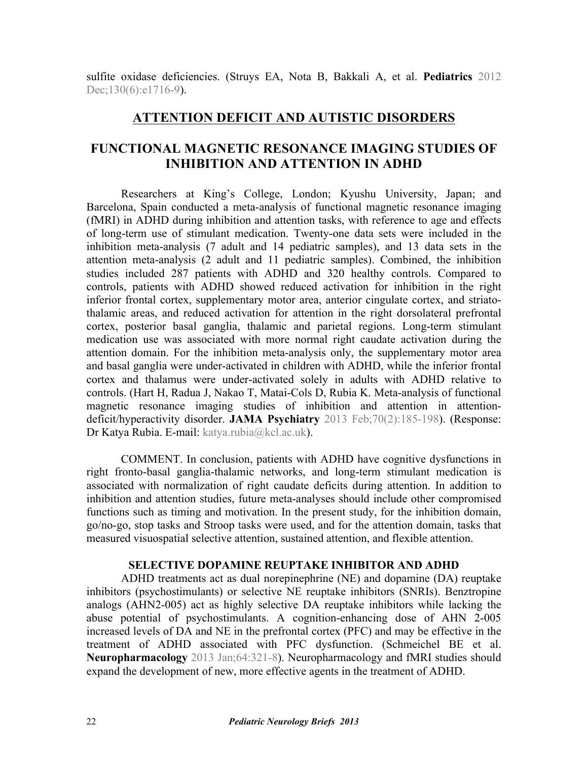[sulfite oxidase deficiencies. \(Struys EA, Nota B, Bakkali A, et al.](http://dx.doi.org/10.1542/peds.2012-1094) **Pediatrics** 2012 Dec;130(6):e1716-9).

# **ATTENTION DEFICIT AND AUTISTIC DISORDERS**

# **FUNCTIONAL MAGNETIC RESONANCE IMAGING STUDIES OF INHIBITION AND ATTENTION IN ADHD**

Researchers at King's College, London; Kyushu University, Japan; and Barcelona, Spain conducted a meta-analysis of functional magnetic resonance imaging (fMRI) in ADHD during inhibition and attention tasks, with reference to age and effects of long-term use of stimulant medication. Twenty-one data sets were included in the inhibition meta-analysis (7 adult and 14 pediatric samples), and 13 data sets in the attention meta-analysis (2 adult and 11 pediatric samples). Combined, the inhibition studies included 287 patients with ADHD and 320 healthy controls. Compared to controls, patients with ADHD showed reduced activation for inhibition in the right inferior frontal cortex, supplementary motor area, anterior cingulate cortex, and striatothalamic areas, and reduced activation for attention in the right dorsolateral prefrontal cortex, posterior basal ganglia, thalamic and parietal regions. Long-term stimulant medication use was associated with more normal right caudate activation during the attention domain. For the inhibition meta-analysis only, the supplementary motor area and basal ganglia were under-activated in children with ADHD, while the inferior frontal cortex and thalamus were under-activated solely in adults with ADHD relative to [controls. \(Hart H, Radua J, Nakao T, Matai-Cols D, Rubia K. Meta-analysis of functional](http://dx.doi.org/10.1001/jamapsychiatry.2013.277) magnetic resonance imaging studies of inhibition and attention in attentiondeficit/hyperactivity disorder. **JAMA Psychiatry** 2013 Feb;70(2):185-198). (Response: Dr Katya Rubia. E-mail: katya.rubia@kcl.ac.uk).

 COMMENT. In conclusion, patients with ADHD have cognitive dysfunctions in right fronto-basal ganglia-thalamic networks, and long-term stimulant medication is associated with normalization of right caudate deficits during attention. In addition to inhibition and attention studies, future meta-analyses should include other compromised functions such as timing and motivation. In the present study, for the inhibition domain, go/no-go, stop tasks and Stroop tasks were used, and for the attention domain, tasks that measured visuospatial selective attention, sustained attention, and flexible attention.

#### **SELECTIVE DOPAMINE REUPTAKE INHIBITOR AND ADHD**

ADHD treatments act as dual norepinephrine (NE) and dopamine (DA) reuptake inhibitors (psychostimulants) or selective NE reuptake inhibitors (SNRIs). Benztropine analogs (AHN2-005) act as highly selective DA reuptake inhibitors while lacking the abuse potential of psychostimulants. A cognition-enhancing dose of AHN 2-005 increased levels of DA and NE in the prefrontal cortex (PFC) and may be effective in the [treatment of ADHD associated with PFC dysfunction. \(Schmeichel BE et al.](http://dx.doi.org/10.1016/j.neuropharm.2012.07.005) **Neuropharmacology** 2013 Jan;64:321-8). Neuropharmacology and fMRI studies should expand the development of new, more effective agents in the treatment of ADHD.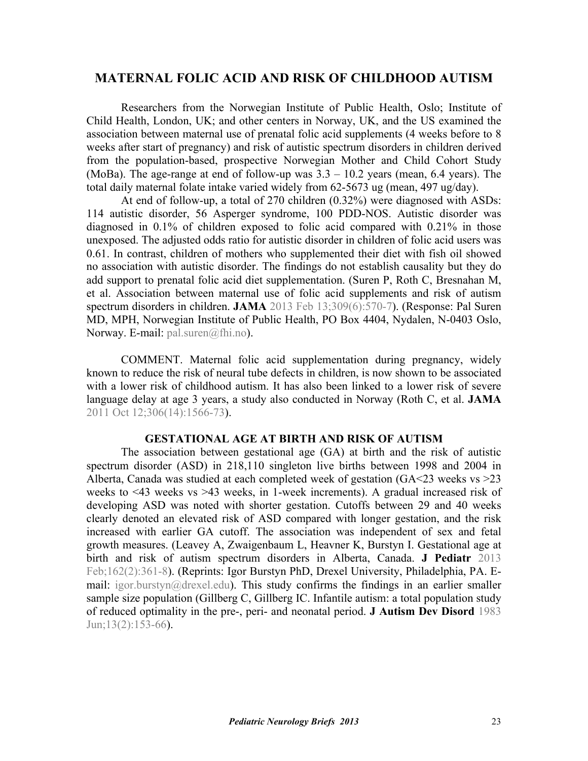# **MATERNAL FOLIC ACID AND RISK OF CHILDHOOD AUTISM**

Researchers from the Norwegian Institute of Public Health, Oslo; Institute of Child Health, London, UK; and other centers in Norway, UK, and the US examined the association between maternal use of prenatal folic acid supplements (4 weeks before to 8 weeks after start of pregnancy) and risk of autistic spectrum disorders in children derived from the population-based, prospective Norwegian Mother and Child Cohort Study (MoBa). The age-range at end of follow-up was  $3.3 - 10.2$  years (mean, 6.4 years). The total daily maternal folate intake varied widely from 62-5673 ug (mean, 497 ug/day).

At end of follow-up, a total of 270 children (0.32%) were diagnosed with ASDs: 114 autistic disorder, 56 Asperger syndrome, 100 PDD-NOS. Autistic disorder was diagnosed in 0.1% of children exposed to folic acid compared with 0.21% in those unexposed. The adjusted odds ratio for autistic disorder in children of folic acid users was 0.61. In contrast, children of mothers who supplemented their diet with fish oil showed no association with autistic disorder. The findings do not establish causality but they do [add support to prenatal folic acid diet supplementation. \(Suren P, Roth C, Bresnahan M,](http://dx.doi.org/10.1001/jama.2012.155925) et al. Association between maternal use of folic acid supplements and risk of autism spectrum disorders in children. **JAMA** 2013 Feb 13;309(6):570-7). (Response: Pal Suren MD, MPH, Norwegian Institute of Public Health, PO Box 4404, Nydalen, N-0403 Oslo, Norway. E-mail: pal.suren@fhi.no).

COMMENT. Maternal folic acid supplementation during pregnancy, widely known to reduce the risk of neural tube defects in children, is now shown to be associated with a lower risk of childhood autism. It has also been linked to a lower risk of severe [language delay at age 3 years, a study also conducted in Norway \(Roth C, et al.](http://dx.doi.org/10.1001/jama.2011.1433) **JAMA**  2011 Oct 12;306(14):1566-73).

#### **GESTATIONAL AGE AT BIRTH AND RISK OF AUTISM**

The association between gestational age (GA) at birth and the risk of autistic spectrum disorder (ASD) in 218,110 singleton live births between 1998 and 2004 in Alberta, Canada was studied at each completed week of gestation (GA<23 weeks vs >23 weeks to <43 weeks vs >43 weeks, in 1-week increments). A gradual increased risk of developing ASD was noted with shorter gestation. Cutoffs between 29 and 40 weeks clearly denoted an elevated risk of ASD compared with longer gestation, and the risk increased with earlier GA cutoff. The association was independent of sex and fetal [growth measures. \(Leavey A, Zwaigenbaum L, Heavner K, Burstyn I. Gestational age at](http://dx.doi.org/10.1016/j.jpeds.2012.07.040) birth and risk of autism spectrum disorders in Alberta, Canada. **J Pediatr** 2013 Feb;162(2):361-8). (Reprints: Igor Burstyn PhD, Drexel University, Philadelphia, PA. Email: igor.burstyn@drexel.edu). This study confirms the findings in an earlier smaller [sample size population \(Gillberg C, Gillberg IC. Infantile autism: a total population study](http://dx.doi.org/10.1007/BF01531816) of reduced optimality in the pre-, peri- and neonatal period. **J Autism Dev Disord** 1983 Jun;13(2):153-66).